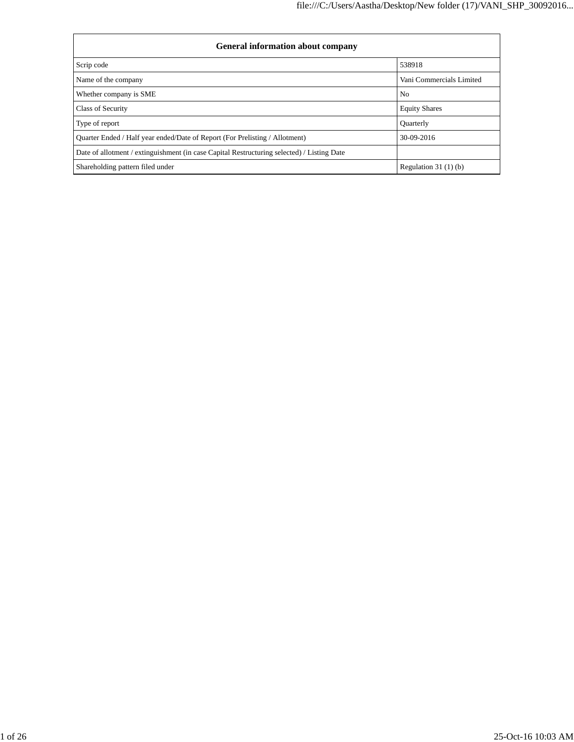| <b>General information about company</b>                                                   |                          |  |  |  |  |  |  |  |
|--------------------------------------------------------------------------------------------|--------------------------|--|--|--|--|--|--|--|
| Scrip code                                                                                 | 538918                   |  |  |  |  |  |  |  |
| Name of the company                                                                        | Vani Commercials Limited |  |  |  |  |  |  |  |
| Whether company is SME                                                                     | N <sub>0</sub>           |  |  |  |  |  |  |  |
| Class of Security                                                                          | <b>Equity Shares</b>     |  |  |  |  |  |  |  |
| Type of report                                                                             | Quarterly                |  |  |  |  |  |  |  |
| Quarter Ended / Half year ended/Date of Report (For Prelisting / Allotment)                | 30-09-2016               |  |  |  |  |  |  |  |
| Date of allotment / extinguishment (in case Capital Restructuring selected) / Listing Date |                          |  |  |  |  |  |  |  |
| Shareholding pattern filed under                                                           | Regulation $31(1)(b)$    |  |  |  |  |  |  |  |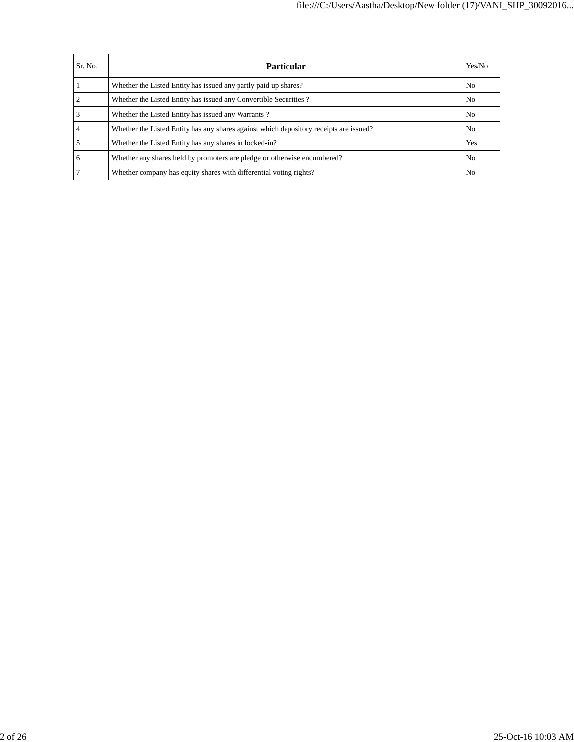| Sr. No. | Particular                                                                             | Yes/No         |
|---------|----------------------------------------------------------------------------------------|----------------|
|         | Whether the Listed Entity has issued any partly paid up shares?                        | N <sub>0</sub> |
|         | Whether the Listed Entity has issued any Convertible Securities?                       | N <sub>0</sub> |
|         | Whether the Listed Entity has issued any Warrants?                                     | N <sub>o</sub> |
|         | Whether the Listed Entity has any shares against which depository receipts are issued? | No.            |
|         | Whether the Listed Entity has any shares in locked-in?                                 | Yes            |
| 6       | Whether any shares held by promoters are pledge or otherwise encumbered?               | N <sub>0</sub> |
|         | Whether company has equity shares with differential voting rights?                     | N <sub>0</sub> |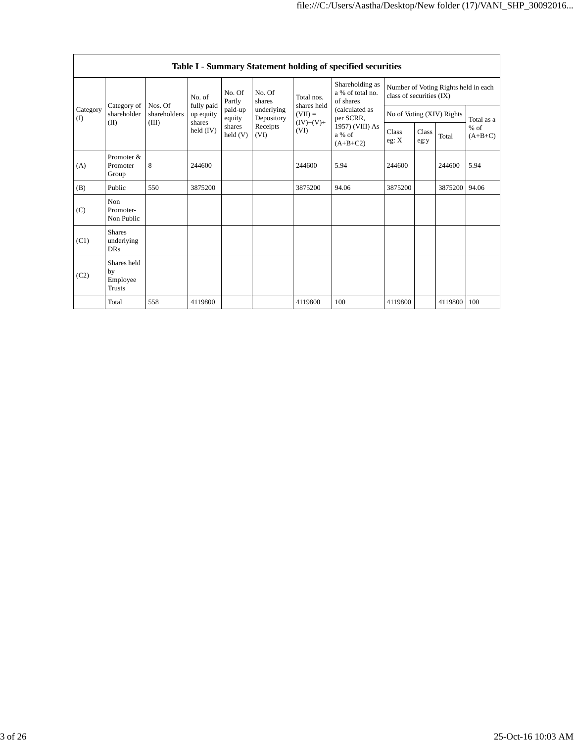|                   | Table I - Summary Statement holding of specified securities |                         |                              |                    |                          |                           |                                                  |                          |                                      |                           |                     |  |  |
|-------------------|-------------------------------------------------------------|-------------------------|------------------------------|--------------------|--------------------------|---------------------------|--------------------------------------------------|--------------------------|--------------------------------------|---------------------------|---------------------|--|--|
|                   |                                                             |                         | No. of                       | No. Of<br>Partly   | No. Of<br>shares         | Total nos.<br>shares held | Shareholding as<br>a % of total no.<br>of shares | class of securities (IX) | Number of Voting Rights held in each |                           |                     |  |  |
| Category<br>$($ I | Category of<br>shareholder                                  | Nos. Of<br>shareholders | fully paid<br>up equity      | paid-up<br>equity  | underlying<br>Depository | $(VII) =$                 | (calculated as<br>per SCRR,                      |                          |                                      | No of Voting (XIV) Rights | Total as a          |  |  |
|                   | (II)                                                        | (III)                   | shares<br>$\text{held (IV)}$ | shares<br>held (V) | Receipts<br>(VI)         | $(IV)+(V)+$<br>(VI)       | 1957) (VIII) As<br>a % of<br>$(A+B+C2)$          | Class<br>eg: X           | Class<br>eg:y                        | Total                     | $%$ of<br>$(A+B+C)$ |  |  |
| (A)               | Promoter &<br>Promoter<br>Group                             | 8                       | 244600                       |                    |                          | 244600                    | 5.94                                             | 244600                   |                                      | 244600                    | 5.94                |  |  |
| (B)               | Public                                                      | 550                     | 3875200                      |                    |                          | 3875200                   | 94.06                                            | 3875200                  |                                      | 3875200                   | 94.06               |  |  |
| (C)               | Non<br>Promoter-<br>Non Public                              |                         |                              |                    |                          |                           |                                                  |                          |                                      |                           |                     |  |  |
| (C1)              | <b>Shares</b><br>underlying<br><b>DRs</b>                   |                         |                              |                    |                          |                           |                                                  |                          |                                      |                           |                     |  |  |
| (C2)              | Shares held<br>by<br>Employee<br><b>Trusts</b>              |                         |                              |                    |                          |                           |                                                  |                          |                                      |                           |                     |  |  |
|                   | Total                                                       | 558                     | 4119800                      |                    |                          | 4119800                   | 100                                              | 4119800                  |                                      | 4119800                   | 100                 |  |  |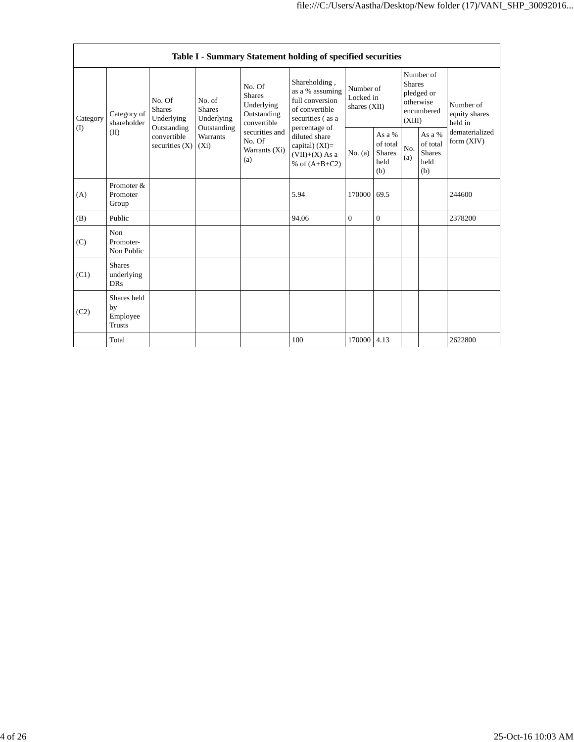|                 | Table I - Summary Statement holding of specified securities |                                                                                         |                                                                             |                                                                     |                                                                                                                                                                                      |                                        |                                                    |                                                                               |                                                    |                                       |  |
|-----------------|-------------------------------------------------------------|-----------------------------------------------------------------------------------------|-----------------------------------------------------------------------------|---------------------------------------------------------------------|--------------------------------------------------------------------------------------------------------------------------------------------------------------------------------------|----------------------------------------|----------------------------------------------------|-------------------------------------------------------------------------------|----------------------------------------------------|---------------------------------------|--|
| Category<br>(I) | Category of<br>shareholder<br>(II)                          | No. Of<br><b>Shares</b><br>Underlying<br>Outstanding<br>convertible<br>securities $(X)$ | No. of<br><b>Shares</b><br>Underlying<br>Outstanding<br>Warrants<br>$(X_i)$ | No. Of<br><b>Shares</b><br>Underlying<br>Outstanding<br>convertible | Shareholding,<br>as a % assuming<br>full conversion<br>of convertible<br>securities (as a<br>percentage of<br>diluted share<br>capital) (XI)=<br>$(VII)+(X)$ As a<br>% of $(A+B+C2)$ | Number of<br>Locked in<br>shares (XII) |                                                    | Number of<br><b>Shares</b><br>pledged or<br>otherwise<br>encumbered<br>(XIII) |                                                    | Number of<br>equity shares<br>held in |  |
|                 |                                                             |                                                                                         |                                                                             | securities and<br>No. Of<br>Warrants (Xi)<br>(a)                    |                                                                                                                                                                                      | No. (a)                                | As a %<br>of total<br><b>Shares</b><br>held<br>(b) | No.<br>(a)                                                                    | As a %<br>of total<br><b>Shares</b><br>held<br>(b) | dematerialized<br>form $(XIV)$        |  |
| (A)             | Promoter &<br>Promoter<br>Group                             |                                                                                         |                                                                             |                                                                     | 5.94                                                                                                                                                                                 | 170000                                 | 69.5                                               |                                                                               |                                                    | 244600                                |  |
| (B)             | Public                                                      |                                                                                         |                                                                             |                                                                     | 94.06                                                                                                                                                                                | $\Omega$                               | $\Omega$                                           |                                                                               |                                                    | 2378200                               |  |
| (C)             | Non<br>Promoter-<br>Non Public                              |                                                                                         |                                                                             |                                                                     |                                                                                                                                                                                      |                                        |                                                    |                                                                               |                                                    |                                       |  |
| (C1)            | <b>Shares</b><br>underlying<br><b>DRs</b>                   |                                                                                         |                                                                             |                                                                     |                                                                                                                                                                                      |                                        |                                                    |                                                                               |                                                    |                                       |  |
| (C2)            | Shares held<br>by<br>Employee<br><b>Trusts</b>              |                                                                                         |                                                                             |                                                                     |                                                                                                                                                                                      |                                        |                                                    |                                                                               |                                                    |                                       |  |
|                 | Total                                                       |                                                                                         |                                                                             |                                                                     | 100                                                                                                                                                                                  | 170000 4.13                            |                                                    |                                                                               |                                                    | 2622800                               |  |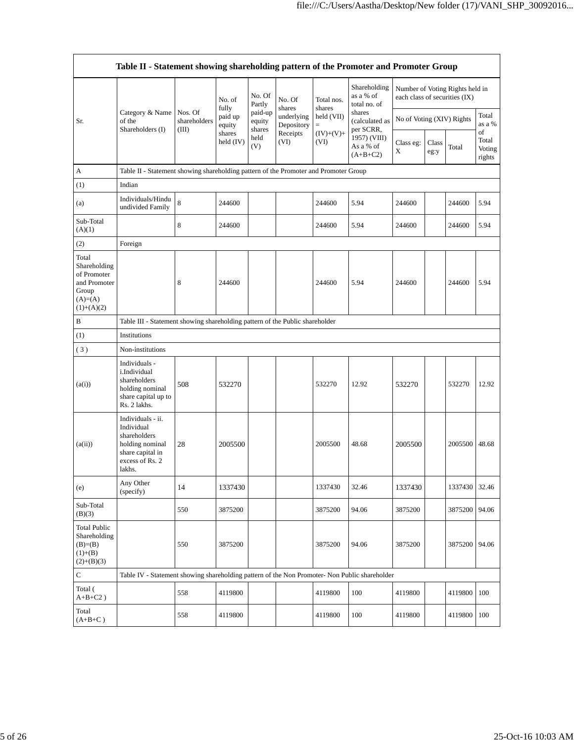|                                                                                             | Table II - Statement showing shareholding pattern of the Promoter and Promoter Group                                |                                                                              |                       |                                                 |                                    |                      |                                           |                               |               |                                 |                                 |  |  |
|---------------------------------------------------------------------------------------------|---------------------------------------------------------------------------------------------------------------------|------------------------------------------------------------------------------|-----------------------|-------------------------------------------------|------------------------------------|----------------------|-------------------------------------------|-------------------------------|---------------|---------------------------------|---------------------------------|--|--|
|                                                                                             |                                                                                                                     |                                                                              | No. of<br>fully       | No. Of<br>Partly<br>paid-up<br>equity<br>shares | No. Of                             | Total nos.<br>shares | Shareholding<br>as a % of<br>total no. of | each class of securities (IX) |               | Number of Voting Rights held in |                                 |  |  |
| Sr.                                                                                         | Category & Name<br>of the<br>Shareholders (I)                                                                       | Nos. Of<br>shareholders<br>(III)                                             | paid up<br>equity     |                                                 | shares<br>underlying<br>Depository | held (VII)<br>$=$    | shares<br>(calculated as<br>per SCRR,     | No of Voting (XIV) Rights     |               |                                 | Total<br>as a %                 |  |  |
|                                                                                             |                                                                                                                     |                                                                              | shares<br>held $(IV)$ | held<br>(V)                                     | Receipts<br>(VI)                   | $(IV)+(V)+$<br>(VI)  | 1957) (VIII)<br>As a % of<br>$(A+B+C2)$   | Class eg:<br>X                | Class<br>eg:y | Total                           | of<br>Total<br>Voting<br>rights |  |  |
| A                                                                                           | Table II - Statement showing shareholding pattern of the Promoter and Promoter Group                                |                                                                              |                       |                                                 |                                    |                      |                                           |                               |               |                                 |                                 |  |  |
| (1)                                                                                         | Indian                                                                                                              |                                                                              |                       |                                                 |                                    |                      |                                           |                               |               |                                 |                                 |  |  |
| (a)                                                                                         | Individuals/Hindu<br>undivided Family                                                                               | 8                                                                            | 244600                |                                                 |                                    | 244600               | 5.94                                      | 244600                        |               | 244600                          | 5.94                            |  |  |
| Sub-Total<br>(A)(1)                                                                         |                                                                                                                     | 8                                                                            | 244600                |                                                 |                                    | 244600               | 5.94                                      | 244600                        |               | 244600                          | 5.94                            |  |  |
| (2)                                                                                         | Foreign                                                                                                             |                                                                              |                       |                                                 |                                    |                      |                                           |                               |               |                                 |                                 |  |  |
| Total<br>Shareholding<br>of Promoter<br>and Promoter<br>Group<br>$(A)= (A)$<br>$(1)+(A)(2)$ |                                                                                                                     | 8                                                                            | 244600                |                                                 |                                    | 244600               | 5.94                                      | 244600                        |               | 244600                          | 5.94                            |  |  |
| В                                                                                           |                                                                                                                     | Table III - Statement showing shareholding pattern of the Public shareholder |                       |                                                 |                                    |                      |                                           |                               |               |                                 |                                 |  |  |
| (1)                                                                                         | Institutions                                                                                                        |                                                                              |                       |                                                 |                                    |                      |                                           |                               |               |                                 |                                 |  |  |
| (3)                                                                                         | Non-institutions                                                                                                    |                                                                              |                       |                                                 |                                    |                      |                                           |                               |               |                                 |                                 |  |  |
| (a(i))                                                                                      | Individuals -<br>i.Individual<br>shareholders<br>holding nominal<br>share capital up to<br>Rs. 2 lakhs.             | 508                                                                          | 532270                |                                                 |                                    | 532270               | 12.92                                     | 532270                        |               | 532270                          | 12.92                           |  |  |
| (a(ii))                                                                                     | Individuals - ii.<br>Individual<br>shareholders<br>holding nominal<br>share capital in<br>excess of Rs. 2<br>lakhs. | 28                                                                           | 2005500               |                                                 |                                    | 2005500              | 48.68                                     | 2005500                       |               | 2005500                         | 48.68                           |  |  |
| (e)                                                                                         | Any Other<br>(specify)                                                                                              | 14                                                                           | 1337430               |                                                 |                                    | 1337430              | 32.46                                     | 1337430                       |               | 1337430 32.46                   |                                 |  |  |
| Sub-Total<br>(B)(3)                                                                         |                                                                                                                     | 550                                                                          | 3875200               |                                                 |                                    | 3875200              | 94.06                                     | 3875200                       |               | 3875200 94.06                   |                                 |  |  |
| <b>Total Public</b><br>Shareholding<br>$(B)= (B)$<br>$(1)+(B)$<br>$(2)+(B)(3)$              |                                                                                                                     | 550                                                                          | 3875200               |                                                 |                                    | 3875200              | 94.06                                     | 3875200                       |               | 3875200 94.06                   |                                 |  |  |
| $\mathbf C$                                                                                 | Table IV - Statement showing shareholding pattern of the Non Promoter- Non Public shareholder                       |                                                                              |                       |                                                 |                                    |                      |                                           |                               |               |                                 |                                 |  |  |
| Total (<br>$A+B+C2$ )                                                                       |                                                                                                                     | 558                                                                          | 4119800               |                                                 |                                    | 4119800              | 100                                       | 4119800                       |               | 4119800                         | 100                             |  |  |
| Total<br>$(A+B+C)$                                                                          |                                                                                                                     | 558                                                                          | 4119800               |                                                 |                                    | 4119800              | 100                                       | 4119800                       |               | 4119800                         | 100                             |  |  |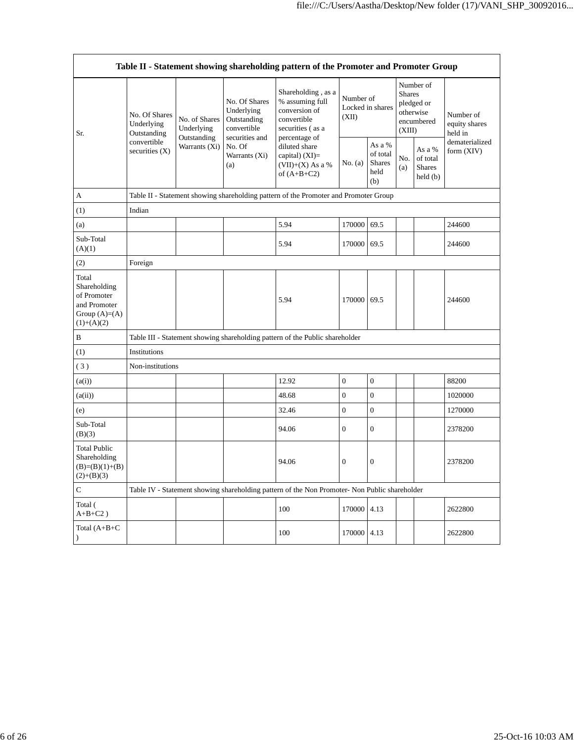| Table II - Statement showing shareholding pattern of the Promoter and Promoter Group    |                                                                             |                                                             |                                                                                                               |                                                                                                                                                                                         |                                        |                                                    |                                                                               |                                                |                                       |  |  |
|-----------------------------------------------------------------------------------------|-----------------------------------------------------------------------------|-------------------------------------------------------------|---------------------------------------------------------------------------------------------------------------|-----------------------------------------------------------------------------------------------------------------------------------------------------------------------------------------|----------------------------------------|----------------------------------------------------|-------------------------------------------------------------------------------|------------------------------------------------|---------------------------------------|--|--|
| Sr.                                                                                     | No. Of Shares<br>Underlying<br>Outstanding<br>convertible<br>securities (X) | No. of Shares<br>Underlying<br>Outstanding<br>Warrants (Xi) | No. Of Shares<br>Underlying<br>Outstanding<br>convertible<br>securities and<br>No. Of<br>Warrants (Xi)<br>(a) | Shareholding, as a<br>% assuming full<br>conversion of<br>convertible<br>securities (as a<br>percentage of<br>diluted share<br>capital) $(XI)$ =<br>$(VII)+(X)$ As a %<br>of $(A+B+C2)$ | Number of<br>Locked in shares<br>(XII) |                                                    | Number of<br><b>Shares</b><br>pledged or<br>otherwise<br>encumbered<br>(XIII) |                                                | Number of<br>equity shares<br>held in |  |  |
|                                                                                         |                                                                             |                                                             |                                                                                                               |                                                                                                                                                                                         | No. (a)                                | As a %<br>of total<br><b>Shares</b><br>held<br>(b) | No.<br>(a)                                                                    | As a %<br>of total<br><b>Shares</b><br>held(b) | dematerialized<br>form (XIV)          |  |  |
| A                                                                                       |                                                                             |                                                             |                                                                                                               | Table II - Statement showing shareholding pattern of the Promoter and Promoter Group                                                                                                    |                                        |                                                    |                                                                               |                                                |                                       |  |  |
| (1)                                                                                     | Indian                                                                      |                                                             |                                                                                                               |                                                                                                                                                                                         |                                        |                                                    |                                                                               |                                                |                                       |  |  |
| (a)                                                                                     |                                                                             |                                                             |                                                                                                               | 5.94                                                                                                                                                                                    | 170000                                 | 69.5                                               |                                                                               |                                                | 244600                                |  |  |
| Sub-Total<br>(A)(1)                                                                     |                                                                             |                                                             |                                                                                                               | 5.94                                                                                                                                                                                    | 170000                                 | 69.5                                               |                                                                               |                                                | 244600                                |  |  |
| (2)                                                                                     | Foreign                                                                     |                                                             |                                                                                                               |                                                                                                                                                                                         |                                        |                                                    |                                                                               |                                                |                                       |  |  |
| Total<br>Shareholding<br>of Promoter<br>and Promoter<br>Group $(A)=(A)$<br>$(1)+(A)(2)$ |                                                                             |                                                             |                                                                                                               | 5.94                                                                                                                                                                                    | 170000                                 | 69.5                                               |                                                                               |                                                | 244600                                |  |  |
| B                                                                                       |                                                                             |                                                             |                                                                                                               | Table III - Statement showing shareholding pattern of the Public shareholder                                                                                                            |                                        |                                                    |                                                                               |                                                |                                       |  |  |
| (1)                                                                                     | Institutions                                                                |                                                             |                                                                                                               |                                                                                                                                                                                         |                                        |                                                    |                                                                               |                                                |                                       |  |  |
| (3)                                                                                     | Non-institutions                                                            |                                                             |                                                                                                               |                                                                                                                                                                                         |                                        |                                                    |                                                                               |                                                |                                       |  |  |
| (a(i))                                                                                  |                                                                             |                                                             |                                                                                                               | 12.92                                                                                                                                                                                   | $\mathbf{0}$                           | $\boldsymbol{0}$                                   |                                                                               |                                                | 88200                                 |  |  |
| (a(ii))                                                                                 |                                                                             |                                                             |                                                                                                               | 48.68                                                                                                                                                                                   | $\overline{0}$                         | $\boldsymbol{0}$                                   |                                                                               |                                                | 1020000                               |  |  |
| (e)                                                                                     |                                                                             |                                                             |                                                                                                               | 32.46                                                                                                                                                                                   | $\overline{0}$                         | $\overline{0}$                                     |                                                                               |                                                | 1270000                               |  |  |
| Sub-Total<br>(B)(3)                                                                     |                                                                             |                                                             |                                                                                                               | 94.06                                                                                                                                                                                   | $\overline{0}$                         | $\overline{0}$                                     |                                                                               |                                                | 2378200                               |  |  |
| <b>Total Public</b><br>Shareholding<br>$(B)=(B)(1)+(B)$<br>$(2)+(B)(3)$                 |                                                                             |                                                             |                                                                                                               | 94.06                                                                                                                                                                                   | $\overline{0}$                         | $\mathbf{0}$                                       |                                                                               |                                                | 2378200                               |  |  |
| $\mathbf C$                                                                             |                                                                             |                                                             |                                                                                                               | Table IV - Statement showing shareholding pattern of the Non Promoter- Non Public shareholder                                                                                           |                                        |                                                    |                                                                               |                                                |                                       |  |  |
| Total (<br>$A+B+C2$ )                                                                   |                                                                             |                                                             |                                                                                                               | 100                                                                                                                                                                                     | 170000 4.13                            |                                                    |                                                                               |                                                | 2622800                               |  |  |
| Total $(A+B+C)$<br>$\lambda$                                                            |                                                                             |                                                             |                                                                                                               | 100                                                                                                                                                                                     | 170000                                 | 4.13                                               |                                                                               |                                                | 2622800                               |  |  |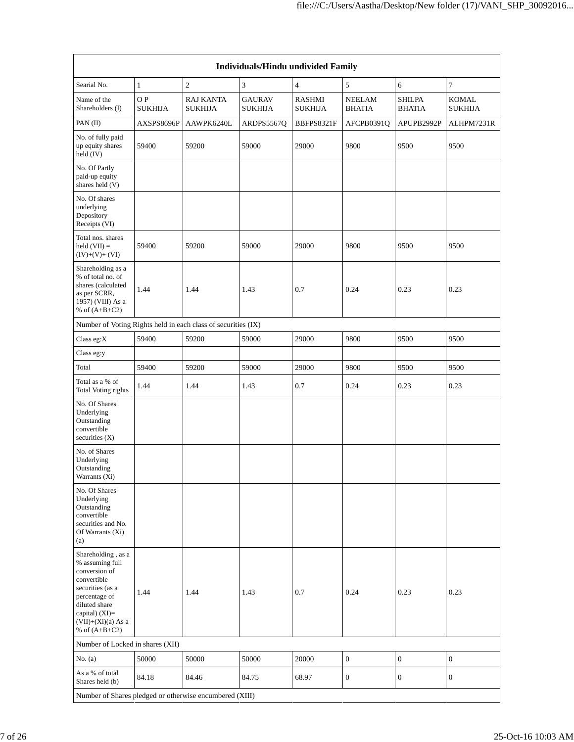| <b>Individuals/Hindu undivided Family</b>                                                                                                                                                  |                      |                                    |                                 |                                 |                         |                                |                                |  |  |  |  |
|--------------------------------------------------------------------------------------------------------------------------------------------------------------------------------------------|----------------------|------------------------------------|---------------------------------|---------------------------------|-------------------------|--------------------------------|--------------------------------|--|--|--|--|
| Searial No.                                                                                                                                                                                | $\mathbf{1}$         | $\overline{c}$                     | 3                               | $\overline{4}$                  | 5                       | 6                              | $\tau$                         |  |  |  |  |
| Name of the<br>Shareholders (I)                                                                                                                                                            | OP<br><b>SUKHIJA</b> | <b>RAJ KANTA</b><br><b>SUKHIJA</b> | <b>GAURAV</b><br><b>SUKHIJA</b> | <b>RASHMI</b><br><b>SUKHIJA</b> | NEELAM<br><b>BHATIA</b> | <b>SHILPA</b><br><b>BHATIA</b> | <b>KOMAL</b><br><b>SUKHIJA</b> |  |  |  |  |
| PAN (II)                                                                                                                                                                                   | AXSPS8696P           | AAWPK6240L                         | ARDPS5567Q                      | BBFPS8321F                      | AFCPB0391Q              | APUPB2992P                     | ALHPM7231R                     |  |  |  |  |
| No. of fully paid<br>up equity shares<br>held (IV)                                                                                                                                         | 59400                | 59200                              | 59000                           | 29000                           | 9800                    | 9500                           | 9500                           |  |  |  |  |
| No. Of Partly<br>paid-up equity<br>shares held (V)                                                                                                                                         |                      |                                    |                                 |                                 |                         |                                |                                |  |  |  |  |
| No. Of shares<br>underlying<br>Depository<br>Receipts (VI)                                                                                                                                 |                      |                                    |                                 |                                 |                         |                                |                                |  |  |  |  |
| Total nos. shares<br>held $(VII) =$<br>$(IV)+(V)+(VI)$                                                                                                                                     | 59400                | 59200                              | 59000                           | 29000                           | 9800                    | 9500                           | 9500                           |  |  |  |  |
| Shareholding as a<br>% of total no. of<br>shares (calculated<br>as per SCRR,<br>1957) (VIII) As a<br>% of $(A+B+C2)$                                                                       | 1.44                 | 1.44                               | 1.43                            | 0.7                             | 0.24                    | 0.23                           | 0.23                           |  |  |  |  |
| Number of Voting Rights held in each class of securities (IX)                                                                                                                              |                      |                                    |                                 |                                 |                         |                                |                                |  |  |  |  |
| Class eg:X                                                                                                                                                                                 | 59400                | 59200                              | 59000                           | 29000                           | 9800                    | 9500                           | 9500                           |  |  |  |  |
| Class eg:y                                                                                                                                                                                 |                      |                                    |                                 |                                 |                         |                                |                                |  |  |  |  |
| Total                                                                                                                                                                                      | 59400                | 59200                              | 59000                           | 29000                           | 9800                    | 9500                           | 9500                           |  |  |  |  |
| Total as a % of<br><b>Total Voting rights</b>                                                                                                                                              | 1.44                 | 1.44                               | 1.43                            | 0.7                             | 0.24                    | 0.23                           | 0.23                           |  |  |  |  |
| No. Of Shares<br>Underlying<br>Outstanding<br>convertible<br>securities $(X)$                                                                                                              |                      |                                    |                                 |                                 |                         |                                |                                |  |  |  |  |
| No. of Shares<br>Underlying<br>Outstanding<br>Warrants (Xi)                                                                                                                                |                      |                                    |                                 |                                 |                         |                                |                                |  |  |  |  |
| No. Of Shares<br>Underlying<br>Outstanding<br>convertible<br>securities and No.<br>Of Warrants (Xi)<br>(a)                                                                                 |                      |                                    |                                 |                                 |                         |                                |                                |  |  |  |  |
| Shareholding, as a<br>% assuming full<br>conversion of<br>convertible<br>securities (as a<br>percentage of<br>diluted share<br>capital) $(XI)=$<br>$(VII)+(Xi)(a)$ As a<br>% of $(A+B+C2)$ | 1.44                 | 1.44                               | 1.43                            | 0.7                             | 0.24                    | 0.23                           | 0.23                           |  |  |  |  |
| Number of Locked in shares (XII)                                                                                                                                                           |                      |                                    |                                 |                                 |                         |                                |                                |  |  |  |  |
| No. (a)                                                                                                                                                                                    | 50000                | 50000                              | 50000                           | 20000                           | $\mathbf{0}$            | $\boldsymbol{0}$               | $\boldsymbol{0}$               |  |  |  |  |
| As a % of total<br>Shares held (b)                                                                                                                                                         | 84.18                | 84.46                              | 84.75                           | 68.97                           | $\theta$                | $\mathbf{0}$                   | $\mathbf{0}$                   |  |  |  |  |
| Number of Shares pledged or otherwise encumbered (XIII)                                                                                                                                    |                      |                                    |                                 |                                 |                         |                                |                                |  |  |  |  |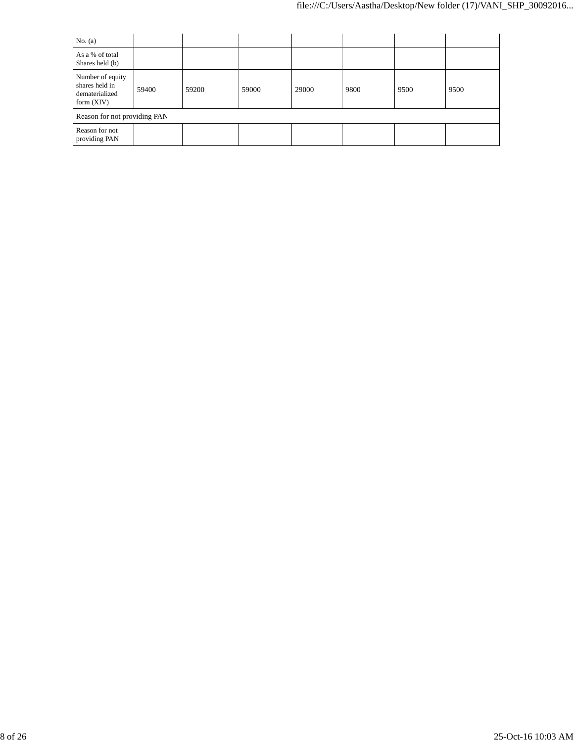| No. $(a)$                                                            |                              |       |       |       |      |      |      |  |  |  |
|----------------------------------------------------------------------|------------------------------|-------|-------|-------|------|------|------|--|--|--|
| As a % of total<br>Shares held (b)                                   |                              |       |       |       |      |      |      |  |  |  |
| Number of equity<br>shares held in<br>dematerialized<br>form $(XIV)$ | 59400                        | 59200 | 59000 | 29000 | 9800 | 9500 | 9500 |  |  |  |
|                                                                      | Reason for not providing PAN |       |       |       |      |      |      |  |  |  |
| Reason for not<br>providing PAN                                      |                              |       |       |       |      |      |      |  |  |  |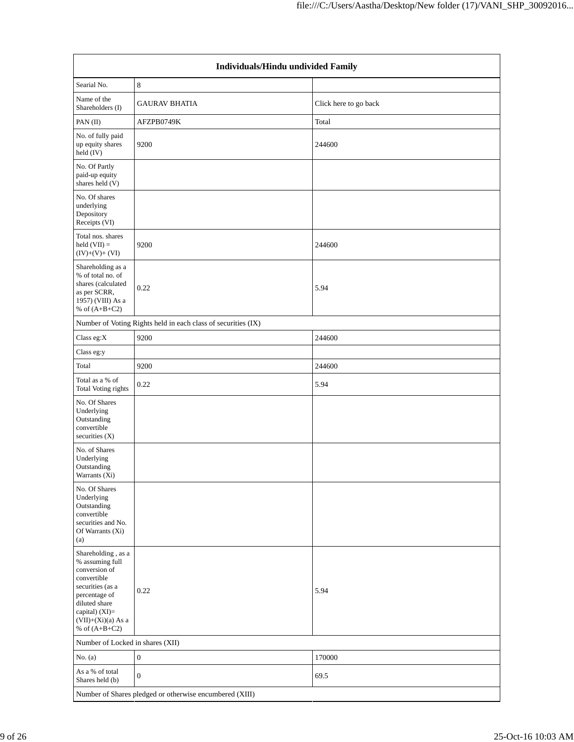|                                                                                                                                                                                          | Individuals/Hindu undivided Family                      |                       |  |  |  |  |  |  |  |
|------------------------------------------------------------------------------------------------------------------------------------------------------------------------------------------|---------------------------------------------------------|-----------------------|--|--|--|--|--|--|--|
| Searial No.                                                                                                                                                                              | 8                                                       |                       |  |  |  |  |  |  |  |
| Name of the<br>Shareholders (I)                                                                                                                                                          | <b>GAURAV BHATIA</b>                                    | Click here to go back |  |  |  |  |  |  |  |
| PAN (II)                                                                                                                                                                                 | AFZPB0749K                                              | Total                 |  |  |  |  |  |  |  |
| No. of fully paid<br>up equity shares<br>held (IV)                                                                                                                                       | 9200                                                    | 244600                |  |  |  |  |  |  |  |
| No. Of Partly<br>paid-up equity<br>shares held (V)                                                                                                                                       |                                                         |                       |  |  |  |  |  |  |  |
| No. Of shares<br>underlying<br>Depository<br>Receipts (VI)                                                                                                                               |                                                         |                       |  |  |  |  |  |  |  |
| Total nos. shares<br>held $(VII) =$<br>$(IV)+(V)+(VI)$                                                                                                                                   | 9200                                                    | 244600                |  |  |  |  |  |  |  |
| Shareholding as a<br>% of total no. of<br>shares (calculated<br>as per SCRR,<br>1957) (VIII) As a<br>% of $(A+B+C2)$                                                                     | 0.22                                                    | 5.94                  |  |  |  |  |  |  |  |
| Number of Voting Rights held in each class of securities (IX)                                                                                                                            |                                                         |                       |  |  |  |  |  |  |  |
| Class eg:X                                                                                                                                                                               | 9200                                                    | 244600                |  |  |  |  |  |  |  |
| Class eg:y                                                                                                                                                                               |                                                         |                       |  |  |  |  |  |  |  |
| Total                                                                                                                                                                                    | 9200                                                    | 244600                |  |  |  |  |  |  |  |
| Total as a % of<br>Total Voting rights                                                                                                                                                   | 0.22                                                    | 5.94                  |  |  |  |  |  |  |  |
| No. Of Shares<br>Underlying<br>Outstanding<br>convertible<br>securities $(X)$                                                                                                            |                                                         |                       |  |  |  |  |  |  |  |
| No. of Shares<br>Underlying<br>Outstanding<br>Warrants (Xi)                                                                                                                              |                                                         |                       |  |  |  |  |  |  |  |
| No. Of Shares<br>Underlying<br>Outstanding<br>convertible<br>securities and No.<br>Of Warrants (Xi)<br>(a)                                                                               |                                                         |                       |  |  |  |  |  |  |  |
| Shareholding, as a<br>% assuming full<br>conversion of<br>convertible<br>securities (as a<br>percentage of<br>diluted share<br>capital) (XI)=<br>$(VII)+(Xi)(a)$ As a<br>% of $(A+B+C2)$ | 0.22                                                    | 5.94                  |  |  |  |  |  |  |  |
| Number of Locked in shares (XII)                                                                                                                                                         |                                                         |                       |  |  |  |  |  |  |  |
| No. $(a)$                                                                                                                                                                                | $\boldsymbol{0}$                                        | 170000                |  |  |  |  |  |  |  |
| As a % of total<br>Shares held (b)                                                                                                                                                       | $\boldsymbol{0}$                                        | 69.5                  |  |  |  |  |  |  |  |
|                                                                                                                                                                                          | Number of Shares pledged or otherwise encumbered (XIII) |                       |  |  |  |  |  |  |  |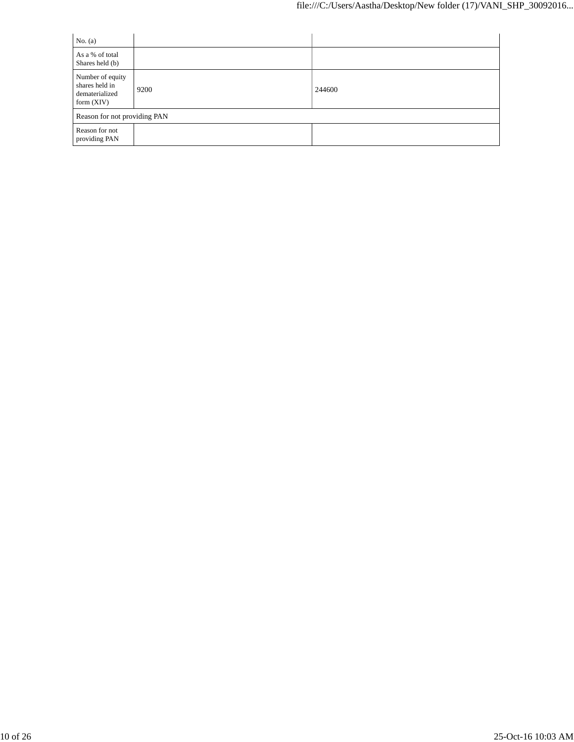| No. $(a)$                                                            |      |        |
|----------------------------------------------------------------------|------|--------|
| As a % of total<br>Shares held (b)                                   |      |        |
| Number of equity<br>shares held in<br>dematerialized<br>form $(XIV)$ | 9200 | 244600 |
| Reason for not providing PAN                                         |      |        |
| Reason for not<br>providing PAN                                      |      |        |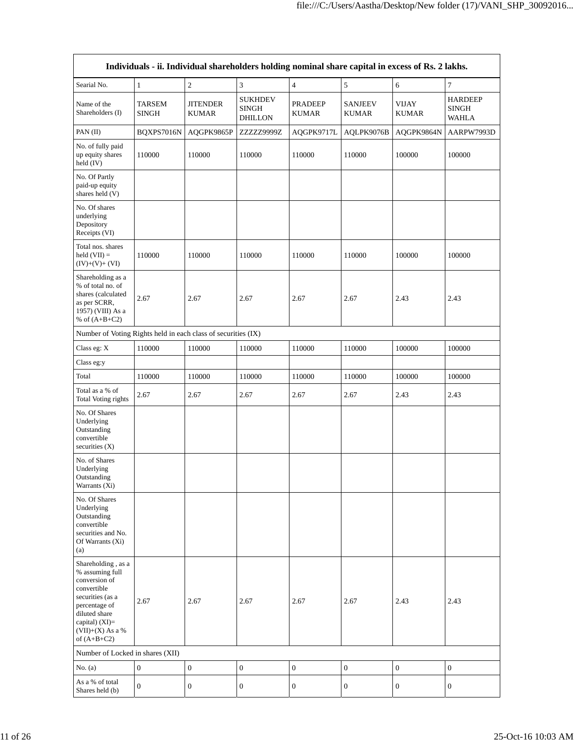| Individuals - ii. Individual shareholders holding nominal share capital in excess of Rs. 2 lakhs.                                                                                    |                               |                                 |                                                  |                                |                                |                              |                                                |  |  |  |
|--------------------------------------------------------------------------------------------------------------------------------------------------------------------------------------|-------------------------------|---------------------------------|--------------------------------------------------|--------------------------------|--------------------------------|------------------------------|------------------------------------------------|--|--|--|
| Searial No.                                                                                                                                                                          | $\mathbf{1}$                  | $\sqrt{2}$                      | 3                                                | $\overline{\mathbf{4}}$        | 5                              | 6                            | 7                                              |  |  |  |
| Name of the<br>Shareholders (I)                                                                                                                                                      | <b>TARSEM</b><br><b>SINGH</b> | <b>JITENDER</b><br><b>KUMAR</b> | <b>SUKHDEV</b><br><b>SINGH</b><br><b>DHILLON</b> | <b>PRADEEP</b><br><b>KUMAR</b> | <b>SANJEEV</b><br><b>KUMAR</b> | <b>VIJAY</b><br><b>KUMAR</b> | <b>HARDEEP</b><br><b>SINGH</b><br><b>WAHLA</b> |  |  |  |
| PAN (II)                                                                                                                                                                             | BQXPS7016N                    | AQGPK9865P                      | ZZZZZ9999Z                                       | AQGPK9717L                     | AQLPK9076B                     | AQGPK9864N                   | AARPW7993D                                     |  |  |  |
| No. of fully paid<br>up equity shares<br>held (IV)                                                                                                                                   | 110000                        | 110000                          | 110000                                           | 110000                         | 110000                         | 100000                       | 100000                                         |  |  |  |
| No. Of Partly<br>paid-up equity<br>shares held (V)                                                                                                                                   |                               |                                 |                                                  |                                |                                |                              |                                                |  |  |  |
| No. Of shares<br>underlying<br>Depository<br>Receipts (VI)                                                                                                                           |                               |                                 |                                                  |                                |                                |                              |                                                |  |  |  |
| Total nos, shares<br>held $(VII) =$<br>$(IV)+(V)+(VI)$                                                                                                                               | 110000                        | 110000                          | 110000                                           | 110000                         | 110000                         | 100000                       | 100000                                         |  |  |  |
| Shareholding as a<br>% of total no. of<br>shares (calculated<br>as per SCRR,<br>1957) (VIII) As a<br>% of $(A+B+C2)$                                                                 | 2.67                          | 2.67                            | 2.67                                             | 2.67                           | 2.67                           | 2.43                         | 2.43                                           |  |  |  |
| Number of Voting Rights held in each class of securities (IX)                                                                                                                        |                               |                                 |                                                  |                                |                                |                              |                                                |  |  |  |
| Class eg: X                                                                                                                                                                          | 110000                        | 110000                          | 110000                                           | 110000                         | 110000                         | 100000                       | 100000                                         |  |  |  |
| Class eg:y                                                                                                                                                                           |                               |                                 |                                                  |                                |                                |                              |                                                |  |  |  |
| Total                                                                                                                                                                                | 110000                        | 110000                          | 110000                                           | 110000                         | 110000                         | 100000                       | 100000                                         |  |  |  |
| Total as a % of<br>Total Voting rights                                                                                                                                               | 2.67                          | 2.67                            | 2.67                                             | 2.67                           | 2.67                           | 2.43                         | 2.43                                           |  |  |  |
| No. Of Shares<br>Underlying<br>Outstanding<br>convertible<br>securities (X)                                                                                                          |                               |                                 |                                                  |                                |                                |                              |                                                |  |  |  |
| No. of Shares<br>Underlying<br>Outstanding<br>Warrants (Xi)                                                                                                                          |                               |                                 |                                                  |                                |                                |                              |                                                |  |  |  |
| No. Of Shares<br>Underlying<br>Outstanding<br>convertible<br>securities and No.<br>Of Warrants (Xi)<br>(a)                                                                           |                               |                                 |                                                  |                                |                                |                              |                                                |  |  |  |
| Shareholding, as a<br>% assuming full<br>conversion of<br>convertible<br>securities (as a<br>percentage of<br>diluted share<br>capital) (XI)=<br>$(VII)+(X)$ As a %<br>of $(A+B+C2)$ | 2.67                          | 2.67                            | 2.67                                             | 2.67                           | 2.67                           | 2.43                         | 2.43                                           |  |  |  |
| Number of Locked in shares (XII)                                                                                                                                                     |                               |                                 |                                                  |                                |                                |                              |                                                |  |  |  |
| No. $(a)$                                                                                                                                                                            | $\boldsymbol{0}$              | $\mathbf{0}$                    | $\boldsymbol{0}$                                 | $\boldsymbol{0}$               | $\mathbf{0}$                   | $\boldsymbol{0}$             | $\boldsymbol{0}$                               |  |  |  |
| As a % of total<br>Shares held (b)                                                                                                                                                   | $\boldsymbol{0}$              | $\boldsymbol{0}$                | $\boldsymbol{0}$                                 | $\boldsymbol{0}$               | $\boldsymbol{0}$               | $\boldsymbol{0}$             | $\boldsymbol{0}$                               |  |  |  |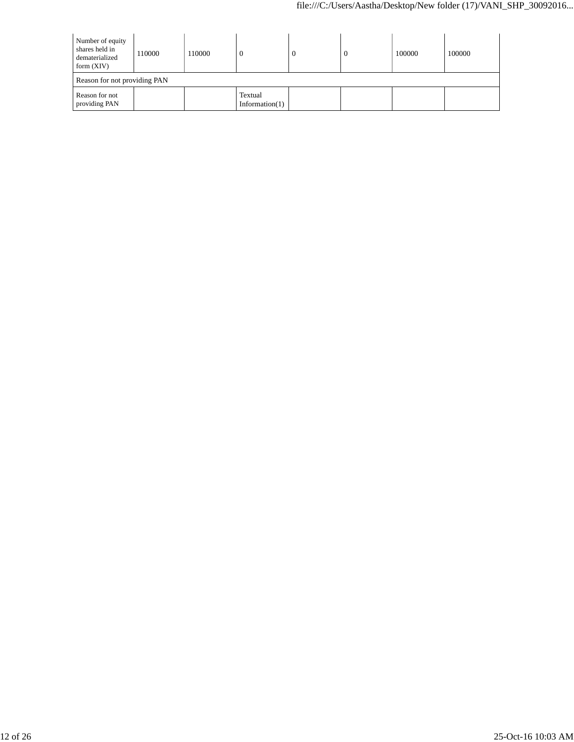| Number of equity<br>shares held in<br>dematerialized<br>form $(XIV)$ | 110000 | 110000 |                              |  | 0 | 100000 | 100000 |  |  |
|----------------------------------------------------------------------|--------|--------|------------------------------|--|---|--------|--------|--|--|
| Reason for not providing PAN                                         |        |        |                              |  |   |        |        |  |  |
| Reason for not<br>providing PAN                                      |        |        | Textual<br>Information $(1)$ |  |   |        |        |  |  |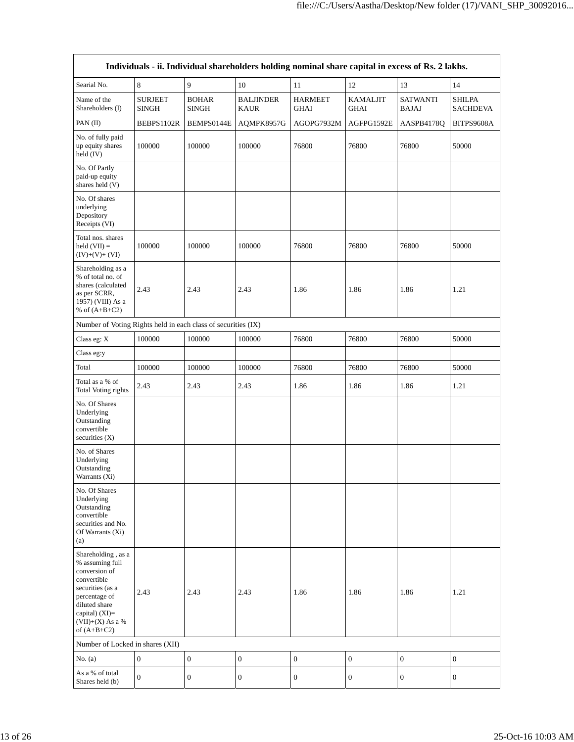|                                                                                                                                                                                      | Individuals - ii. Individual shareholders holding nominal share capital in excess of Rs. 2 lakhs. |                              |                                 |                               |                                |                                 |                                  |
|--------------------------------------------------------------------------------------------------------------------------------------------------------------------------------------|---------------------------------------------------------------------------------------------------|------------------------------|---------------------------------|-------------------------------|--------------------------------|---------------------------------|----------------------------------|
| Searial No.                                                                                                                                                                          | 8                                                                                                 | 9                            | 10                              | 11                            | 12                             | 13                              | 14                               |
| Name of the<br>Shareholders (I)                                                                                                                                                      | <b>SURJEET</b><br><b>SINGH</b>                                                                    | <b>BOHAR</b><br><b>SINGH</b> | <b>BALJINDER</b><br><b>KAUR</b> | <b>HARMEET</b><br><b>GHAI</b> | <b>KAMALJIT</b><br><b>GHAI</b> | <b>SATWANTI</b><br><b>BAJAJ</b> | <b>SHILPA</b><br><b>SACHDEVA</b> |
| PAN (II)                                                                                                                                                                             | BEBPS1102R                                                                                        | BEMPS0144E                   | AQMPK8957G                      | AGOPG7932M                    | AGFPG1592E                     | AASPB4178Q                      | BITPS9608A                       |
| No. of fully paid<br>up equity shares<br>held (IV)                                                                                                                                   | 100000                                                                                            | 100000                       | 100000                          | 76800                         | 76800                          | 76800                           | 50000                            |
| No. Of Partly<br>paid-up equity<br>shares held (V)                                                                                                                                   |                                                                                                   |                              |                                 |                               |                                |                                 |                                  |
| No. Of shares<br>underlying<br>Depository<br>Receipts (VI)                                                                                                                           |                                                                                                   |                              |                                 |                               |                                |                                 |                                  |
| Total nos. shares<br>held $(VII) =$<br>$(IV)+(V)+(VI)$                                                                                                                               | 100000                                                                                            | 100000                       | 100000                          | 76800                         | 76800                          | 76800                           | 50000                            |
| Shareholding as a<br>% of total no. of<br>shares (calculated<br>as per SCRR,<br>1957) (VIII) As a<br>% of $(A+B+C2)$                                                                 | 2.43                                                                                              | 2.43                         | 2.43                            | 1.86                          | 1.86                           | 1.86                            | 1.21                             |
| Number of Voting Rights held in each class of securities (IX)                                                                                                                        |                                                                                                   |                              |                                 |                               |                                |                                 |                                  |
| Class eg: X                                                                                                                                                                          | 100000                                                                                            | 100000                       | 100000                          | 76800                         | 76800                          | 76800                           | 50000                            |
| Class eg:y                                                                                                                                                                           |                                                                                                   |                              |                                 |                               |                                |                                 |                                  |
| Total                                                                                                                                                                                | 100000                                                                                            | 100000                       | 100000                          | 76800                         | 76800                          | 76800                           | 50000                            |
| Total as a % of<br>Total Voting rights                                                                                                                                               | 2.43                                                                                              | 2.43                         | 2.43                            | 1.86                          | 1.86                           | 1.86                            | 1.21                             |
| No. Of Shares<br>Underlying<br>Outstanding<br>convertible<br>securities (X)                                                                                                          |                                                                                                   |                              |                                 |                               |                                |                                 |                                  |
| No. of Shares<br>Underlying<br>Outstanding<br>Warrants (Xi)                                                                                                                          |                                                                                                   |                              |                                 |                               |                                |                                 |                                  |
| No. Of Shares<br>Underlying<br>Outstanding<br>convertible<br>securities and No.<br>Of Warrants (Xi)<br>(a)                                                                           |                                                                                                   |                              |                                 |                               |                                |                                 |                                  |
| Shareholding, as a<br>% assuming full<br>conversion of<br>convertible<br>securities (as a<br>percentage of<br>diluted share<br>capital) (XI)=<br>$(VII)+(X)$ As a %<br>of $(A+B+C2)$ | 2.43                                                                                              | 2.43                         | 2.43                            | 1.86                          | 1.86                           | 1.86                            | 1.21                             |
| Number of Locked in shares (XII)                                                                                                                                                     |                                                                                                   |                              |                                 |                               |                                |                                 |                                  |
| No. $(a)$                                                                                                                                                                            | $\boldsymbol{0}$                                                                                  | $\boldsymbol{0}$             | $\boldsymbol{0}$                | $\boldsymbol{0}$              | $\boldsymbol{0}$               | $\boldsymbol{0}$                | $\boldsymbol{0}$                 |
| As a % of total<br>Shares held (b)                                                                                                                                                   | $\mathbf{0}$                                                                                      | $\boldsymbol{0}$             | $\boldsymbol{0}$                | $\boldsymbol{0}$              | $\boldsymbol{0}$               | $\boldsymbol{0}$                | $\boldsymbol{0}$                 |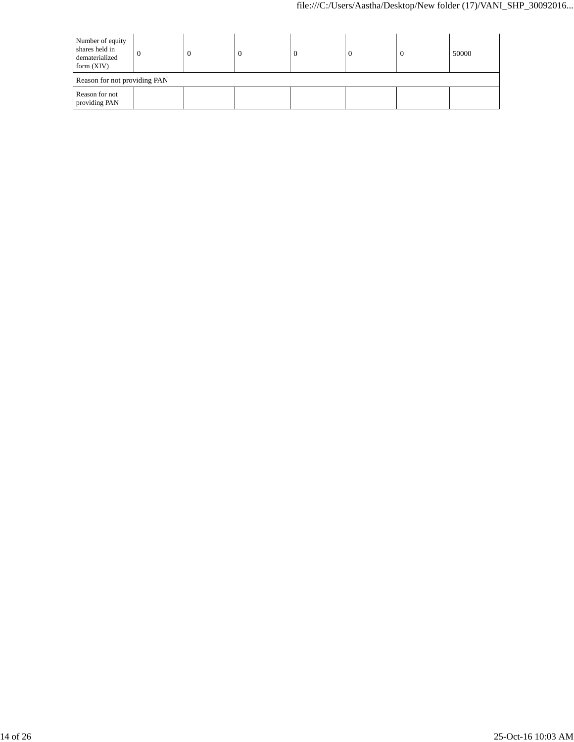| Number of equity<br>shares held in<br>dematerialized<br>form $(XIV)$ |                              | U |  |  | <sup>0</sup> | $\theta$ | 50000 |
|----------------------------------------------------------------------|------------------------------|---|--|--|--------------|----------|-------|
|                                                                      | Reason for not providing PAN |   |  |  |              |          |       |
| Reason for not<br>providing PAN                                      |                              |   |  |  |              |          |       |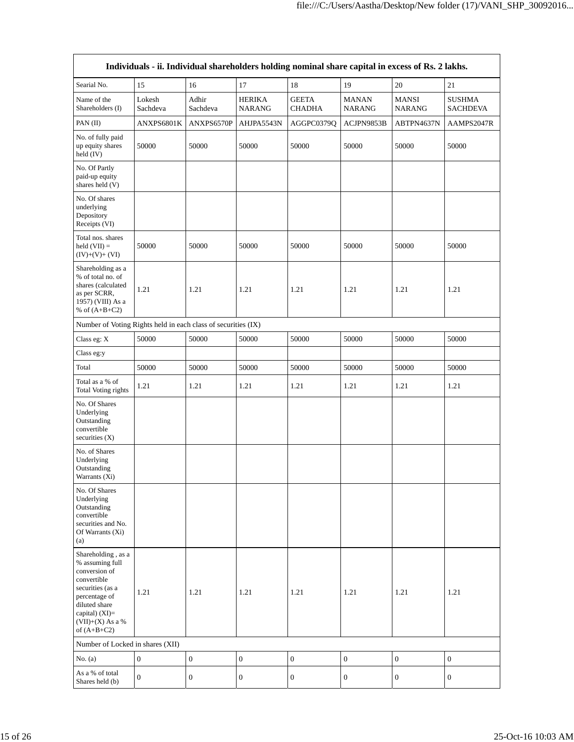|                                                                                                                                                                                      | Individuals - ii. Individual shareholders holding nominal share capital in excess of Rs. 2 lakhs. |                   |                                |                               |                               |                               |                                  |
|--------------------------------------------------------------------------------------------------------------------------------------------------------------------------------------|---------------------------------------------------------------------------------------------------|-------------------|--------------------------------|-------------------------------|-------------------------------|-------------------------------|----------------------------------|
| Searial No.                                                                                                                                                                          | 15                                                                                                | 16                | 17                             | 18                            | 19                            | 20                            | 21                               |
| Name of the<br>Shareholders (I)                                                                                                                                                      | Lokesh<br>Sachdeva                                                                                | Adhir<br>Sachdeva | <b>HERIKA</b><br><b>NARANG</b> | <b>GEETA</b><br><b>CHADHA</b> | <b>MANAN</b><br><b>NARANG</b> | <b>MANSI</b><br><b>NARANG</b> | <b>SUSHMA</b><br><b>SACHDEVA</b> |
| PAN (II)                                                                                                                                                                             | ANXPS6801K                                                                                        | ANXPS6570P        | AHJPA5543N                     | AGGPC0379Q                    | ACJPN9853B                    | ABTPN4637N                    | AAMPS2047R                       |
| No. of fully paid<br>up equity shares<br>held (IV)                                                                                                                                   | 50000                                                                                             | 50000             | 50000                          | 50000                         | 50000                         | 50000                         | 50000                            |
| No. Of Partly<br>paid-up equity<br>shares held (V)                                                                                                                                   |                                                                                                   |                   |                                |                               |                               |                               |                                  |
| No. Of shares<br>underlying<br>Depository<br>Receipts (VI)                                                                                                                           |                                                                                                   |                   |                                |                               |                               |                               |                                  |
| Total nos. shares<br>held $(VII) =$<br>$(IV)+(V)+(VI)$                                                                                                                               | 50000                                                                                             | 50000             | 50000                          | 50000                         | 50000                         | 50000                         | 50000                            |
| Shareholding as a<br>% of total no. of<br>shares (calculated<br>as per SCRR,<br>1957) (VIII) As a<br>% of $(A+B+C2)$                                                                 | 1.21                                                                                              | 1.21              | 1.21                           | 1.21                          | 1.21                          | 1.21                          | 1.21                             |
| Number of Voting Rights held in each class of securities (IX)                                                                                                                        |                                                                                                   |                   |                                |                               |                               |                               |                                  |
| Class eg: X                                                                                                                                                                          | 50000                                                                                             | 50000             | 50000                          | 50000                         | 50000                         | 50000                         | 50000                            |
| Class eg:y                                                                                                                                                                           |                                                                                                   |                   |                                |                               |                               |                               |                                  |
| Total                                                                                                                                                                                | 50000                                                                                             | 50000             | 50000                          | 50000                         | 50000                         | 50000                         | 50000                            |
| Total as a % of<br>Total Voting rights                                                                                                                                               | 1.21                                                                                              | 1.21              | 1.21                           | 1.21                          | 1.21                          | 1.21                          | 1.21                             |
| No. Of Shares<br>Underlying<br>Outstanding<br>convertible<br>securities (X)                                                                                                          |                                                                                                   |                   |                                |                               |                               |                               |                                  |
| No. of Shares<br>Underlying<br>Outstanding<br>Warrants (Xi)                                                                                                                          |                                                                                                   |                   |                                |                               |                               |                               |                                  |
| No. Of Shares<br>Underlying<br>Outstanding<br>convertible<br>securities and No.<br>Of Warrants (Xi)<br>(a)                                                                           |                                                                                                   |                   |                                |                               |                               |                               |                                  |
| Shareholding, as a<br>% assuming full<br>conversion of<br>convertible<br>securities (as a<br>percentage of<br>diluted share<br>capital) (XI)=<br>$(VII)+(X)$ As a %<br>of $(A+B+C2)$ | 1.21                                                                                              | 1.21              | 1.21                           | 1.21                          | 1.21                          | 1.21                          | 1.21                             |
| Number of Locked in shares (XII)                                                                                                                                                     |                                                                                                   |                   |                                |                               |                               |                               |                                  |
| No. $(a)$                                                                                                                                                                            | $\boldsymbol{0}$                                                                                  | $\mathbf{0}$      | $\boldsymbol{0}$               | $\boldsymbol{0}$              | $\boldsymbol{0}$              | $\boldsymbol{0}$              | $\boldsymbol{0}$                 |
| As a % of total<br>Shares held (b)                                                                                                                                                   | $\mathbf{0}$                                                                                      | $\boldsymbol{0}$  | $\boldsymbol{0}$               | $\boldsymbol{0}$              | 0                             | $\boldsymbol{0}$              | $\boldsymbol{0}$                 |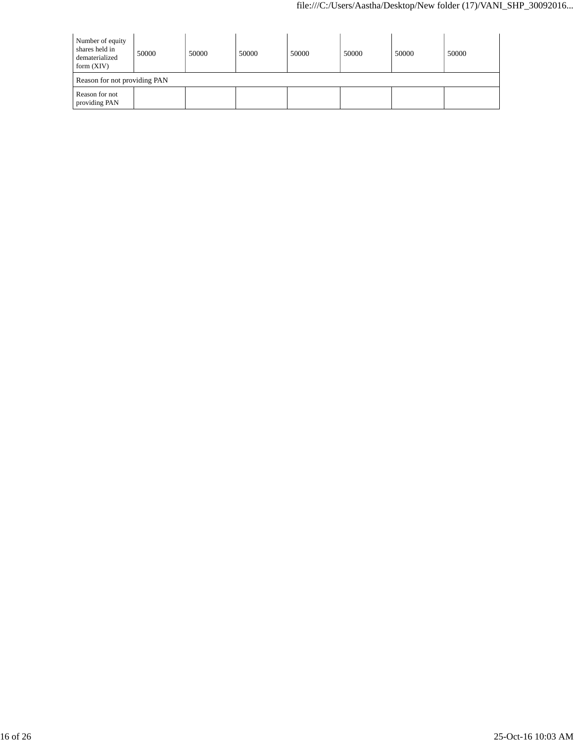| Number of equity<br>shares held in<br>dematerialized<br>form $(XIV)$ | 50000                        | 50000 | 50000 | 50000 | 50000 | 50000 | 50000 |
|----------------------------------------------------------------------|------------------------------|-------|-------|-------|-------|-------|-------|
|                                                                      | Reason for not providing PAN |       |       |       |       |       |       |
| Reason for not<br>providing PAN                                      |                              |       |       |       |       |       |       |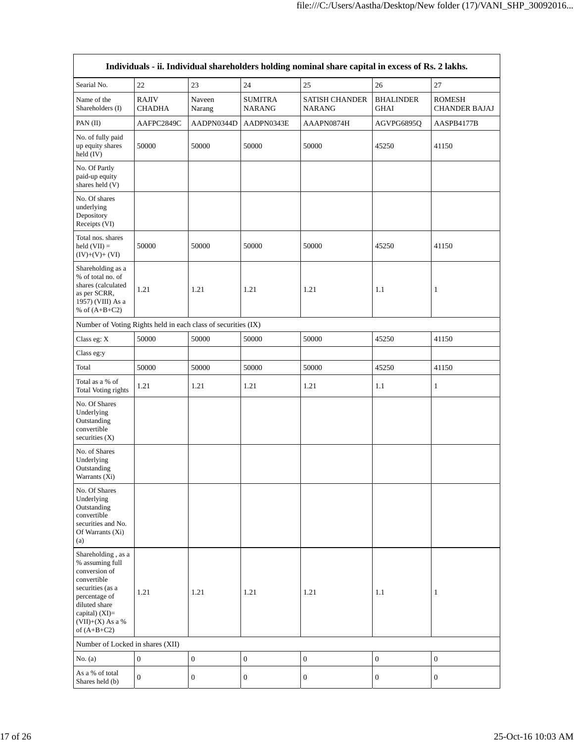|                                                                                                                                                                                      | Individuals - ii. Individual shareholders holding nominal share capital in excess of Rs. 2 lakhs. |                  |                                 |                                        |                                 |                                       |
|--------------------------------------------------------------------------------------------------------------------------------------------------------------------------------------|---------------------------------------------------------------------------------------------------|------------------|---------------------------------|----------------------------------------|---------------------------------|---------------------------------------|
| Searial No.                                                                                                                                                                          | 22                                                                                                | 23               | 24                              | 25                                     | 26                              | 27                                    |
| Name of the<br>Shareholders (I)                                                                                                                                                      | <b>RAJIV</b><br><b>CHADHA</b>                                                                     | Naveen<br>Narang | <b>SUMITRA</b><br><b>NARANG</b> | <b>SATISH CHANDER</b><br><b>NARANG</b> | <b>BHALINDER</b><br><b>GHAI</b> | <b>ROMESH</b><br><b>CHANDER BAJAJ</b> |
| PAN (II)                                                                                                                                                                             | AAFPC2849C                                                                                        | AADPN0344D       | AADPN0343E                      | AAAPN0874H                             | AGVPG6895Q                      | AASPB4177B                            |
| No. of fully paid<br>up equity shares<br>held (IV)                                                                                                                                   | 50000                                                                                             | 50000            | 50000                           | 50000                                  | 45250                           | 41150                                 |
| No. Of Partly<br>paid-up equity<br>shares held (V)                                                                                                                                   |                                                                                                   |                  |                                 |                                        |                                 |                                       |
| No. Of shares<br>underlying<br>Depository<br>Receipts (VI)                                                                                                                           |                                                                                                   |                  |                                 |                                        |                                 |                                       |
| Total nos. shares<br>held $(VII) =$<br>$(IV)+(V)+(VI)$                                                                                                                               | 50000                                                                                             | 50000            | 50000                           | 50000                                  | 45250                           | 41150                                 |
| Shareholding as a<br>% of total no. of<br>shares (calculated<br>as per SCRR,<br>1957) (VIII) As a<br>% of $(A+B+C2)$                                                                 | 1.21                                                                                              | 1.21             | 1.21                            | 1.21                                   | 1.1                             | 1                                     |
| Number of Voting Rights held in each class of securities (IX)                                                                                                                        |                                                                                                   |                  |                                 |                                        |                                 |                                       |
| Class eg: X                                                                                                                                                                          | 50000                                                                                             | 50000            | 50000                           | 50000                                  | 45250                           | 41150                                 |
| Class eg:y                                                                                                                                                                           |                                                                                                   |                  |                                 |                                        |                                 |                                       |
| Total                                                                                                                                                                                | 50000                                                                                             | 50000            | 50000                           | 50000                                  | 45250                           | 41150                                 |
| Total as a % of<br>Total Voting rights                                                                                                                                               | 1.21                                                                                              | 1.21             | 1.21                            | 1.21                                   | 1.1                             | 1                                     |
| No. Of Shares<br>Underlying<br>Outstanding<br>convertible<br>securities (X)                                                                                                          |                                                                                                   |                  |                                 |                                        |                                 |                                       |
| No. of Shares<br>Underlying<br>Outstanding<br>Warrants (Xi)                                                                                                                          |                                                                                                   |                  |                                 |                                        |                                 |                                       |
| No. Of Shares<br>Underlying<br>Outstanding<br>convertible<br>securities and No.<br>Of Warrants (Xi)<br>(a)                                                                           |                                                                                                   |                  |                                 |                                        |                                 |                                       |
| Shareholding, as a<br>% assuming full<br>conversion of<br>convertible<br>securities (as a<br>percentage of<br>diluted share<br>capital) (XI)=<br>$(VII)+(X)$ As a %<br>of $(A+B+C2)$ | 1.21                                                                                              | 1.21             | 1.21                            | 1.21                                   | 1.1                             | $\mathbf{1}$                          |
| Number of Locked in shares (XII)                                                                                                                                                     |                                                                                                   |                  |                                 |                                        |                                 |                                       |
| No. $(a)$                                                                                                                                                                            | $\boldsymbol{0}$                                                                                  | $\boldsymbol{0}$ | $\boldsymbol{0}$                | $\boldsymbol{0}$                       | $\boldsymbol{0}$                | $\boldsymbol{0}$                      |
| As a % of total<br>Shares held (b)                                                                                                                                                   | $\mathbf{0}$                                                                                      | $\boldsymbol{0}$ | 0                               | $\boldsymbol{0}$                       | $\boldsymbol{0}$                | $\boldsymbol{0}$                      |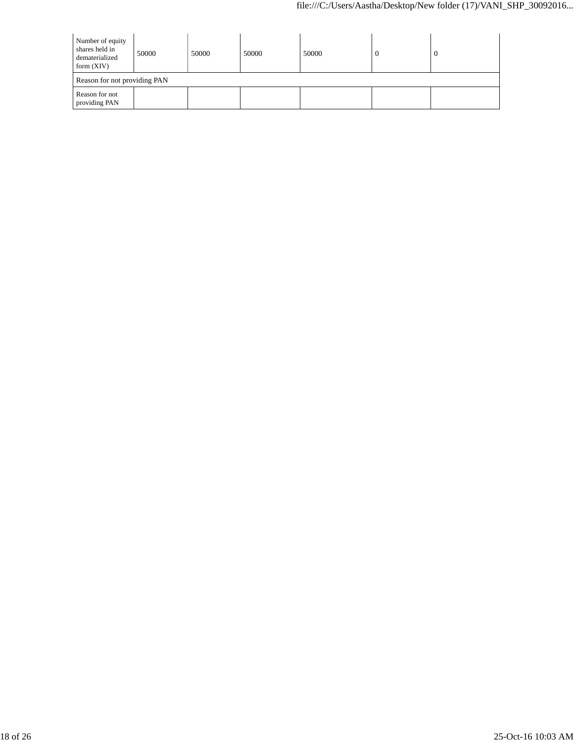| Number of equity<br>shares held in<br>dematerialized<br>form $(XIV)$ | 50000                        | 50000 | 50000 | 50000 | U | 0 |  |  |
|----------------------------------------------------------------------|------------------------------|-------|-------|-------|---|---|--|--|
|                                                                      | Reason for not providing PAN |       |       |       |   |   |  |  |
| Reason for not<br>providing PAN                                      |                              |       |       |       |   |   |  |  |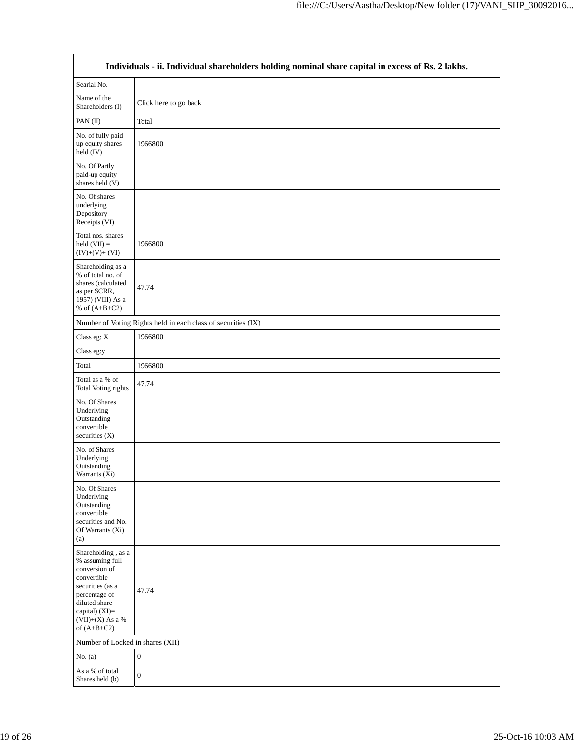|                                                                                                                                                                                      | Individuals - ii. Individual shareholders holding nominal share capital in excess of Rs. 2 lakhs. |
|--------------------------------------------------------------------------------------------------------------------------------------------------------------------------------------|---------------------------------------------------------------------------------------------------|
| Searial No.                                                                                                                                                                          |                                                                                                   |
| Name of the<br>Shareholders (I)                                                                                                                                                      | Click here to go back                                                                             |
| PAN (II)                                                                                                                                                                             | Total                                                                                             |
| No. of fully paid<br>up equity shares<br>held (IV)                                                                                                                                   | 1966800                                                                                           |
| No. Of Partly<br>paid-up equity<br>shares held (V)                                                                                                                                   |                                                                                                   |
| No. Of shares<br>underlying<br>Depository<br>Receipts (VI)                                                                                                                           |                                                                                                   |
| Total nos. shares<br>held $(VII) =$<br>$(IV)+(V)+(VI)$                                                                                                                               | 1966800                                                                                           |
| Shareholding as a<br>% of total no. of<br>shares (calculated<br>as per SCRR,<br>1957) (VIII) As a<br>% of $(A+B+C2)$                                                                 | 47.74                                                                                             |
|                                                                                                                                                                                      | Number of Voting Rights held in each class of securities (IX)                                     |
| Class eg: X                                                                                                                                                                          | 1966800                                                                                           |
| Class eg:y                                                                                                                                                                           |                                                                                                   |
| Total                                                                                                                                                                                | 1966800                                                                                           |
| Total as a % of<br>Total Voting rights                                                                                                                                               | 47.74                                                                                             |
| No. Of Shares<br>Underlying<br>Outstanding<br>convertible<br>securities $(X)$                                                                                                        |                                                                                                   |
| No. of Shares<br>Underlying<br>Outstanding<br>Warrants (Xi)                                                                                                                          |                                                                                                   |
| No. Of Shares<br>Underlying<br>Outstanding<br>convertible<br>securities and No.<br>Of Warrants (Xi)<br>(a)                                                                           |                                                                                                   |
| Shareholding, as a<br>% assuming full<br>conversion of<br>convertible<br>securities (as a<br>percentage of<br>diluted share<br>capital) (XI)=<br>$(VII)+(X)$ As a %<br>of $(A+B+C2)$ | 47.74                                                                                             |
| Number of Locked in shares (XII)                                                                                                                                                     |                                                                                                   |
| No. $(a)$                                                                                                                                                                            | $\boldsymbol{0}$                                                                                  |
| As a % of total<br>Shares held (b)                                                                                                                                                   | $\mathbf{0}$                                                                                      |

٦

 $\overline{\Gamma}$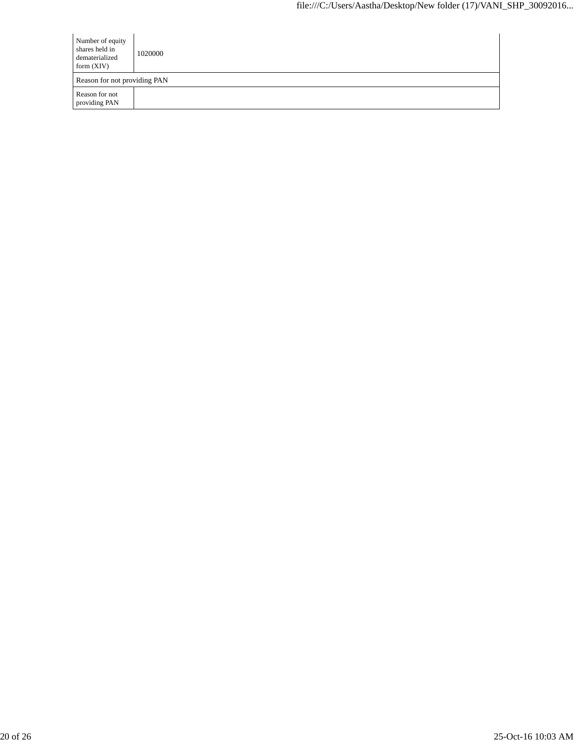| Number of equity<br>shares held in<br>dematerialized<br>form $(XIV)$ | 1020000 |
|----------------------------------------------------------------------|---------|
| Reason for not providing PAN                                         |         |
| Reason for not<br>providing PAN                                      |         |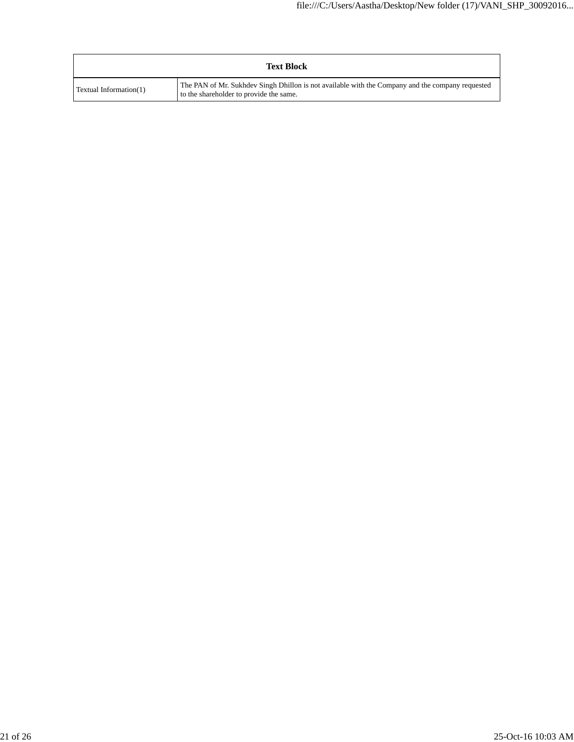|                        | <b>Text Block</b>                                                                                                                           |
|------------------------|---------------------------------------------------------------------------------------------------------------------------------------------|
| Textual Information(1) | The PAN of Mr. Sukhdev Singh Dhillon is not available with the Company and the company requested<br>to the shareholder to provide the same. |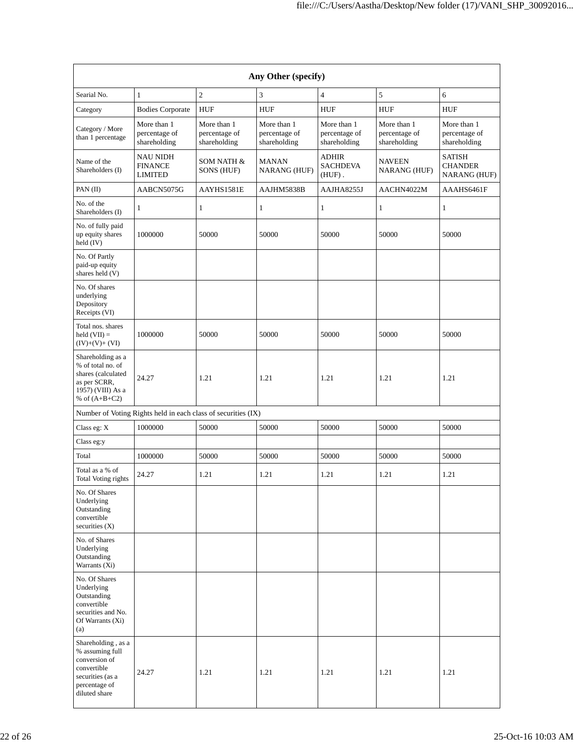|                                                                                                                             |                                                               |                                              | Any Other (specify)                          |                                              |                                              |                                                 |
|-----------------------------------------------------------------------------------------------------------------------------|---------------------------------------------------------------|----------------------------------------------|----------------------------------------------|----------------------------------------------|----------------------------------------------|-------------------------------------------------|
| Searial No.                                                                                                                 | 1                                                             | $\overline{c}$                               | $\mathfrak{Z}$                               | $\overline{4}$                               | 5                                            | 6                                               |
| Category                                                                                                                    | <b>Bodies Corporate</b>                                       | <b>HUF</b>                                   | <b>HUF</b>                                   | <b>HUF</b>                                   | <b>HUF</b>                                   | <b>HUF</b>                                      |
| Category / More<br>than 1 percentage                                                                                        | More than 1<br>percentage of<br>shareholding                  | More than 1<br>percentage of<br>shareholding | More than 1<br>percentage of<br>shareholding | More than 1<br>percentage of<br>shareholding | More than 1<br>percentage of<br>shareholding | More than 1<br>percentage of<br>shareholding    |
| Name of the<br>Shareholders (I)                                                                                             | NAU NIDH<br><b>FINANCE</b><br><b>LIMITED</b>                  | SOM NATH &<br>SONS (HUF)                     | <b>MANAN</b><br><b>NARANG (HUF)</b>          | <b>ADHIR</b><br><b>SACHDEVA</b><br>$(HUF)$ . | <b>NAVEEN</b><br><b>NARANG (HUF)</b>         | <b>SATISH</b><br><b>CHANDER</b><br>NARANG (HUF) |
| PAN (II)                                                                                                                    | AABCN5075G                                                    | AAYHS1581E                                   | AAJHM5838B                                   | AAJHA8255J                                   | AACHN4022M                                   | AAAHS6461F                                      |
| No. of the<br>Shareholders (I)                                                                                              | 1                                                             | $\mathbf{1}$                                 | $\mathbf{1}$                                 | 1                                            | 1                                            | 1                                               |
| No. of fully paid<br>up equity shares<br>held (IV)                                                                          | 1000000                                                       | 50000                                        | 50000                                        | 50000                                        | 50000                                        | 50000                                           |
| No. Of Partly<br>paid-up equity<br>shares held (V)                                                                          |                                                               |                                              |                                              |                                              |                                              |                                                 |
| No. Of shares<br>underlying<br>Depository<br>Receipts (VI)                                                                  |                                                               |                                              |                                              |                                              |                                              |                                                 |
| Total nos. shares<br>held $(VII) =$<br>$(IV)+(V)+(VI)$                                                                      | 1000000                                                       | 50000                                        | 50000                                        | 50000                                        | 50000                                        | 50000                                           |
| Shareholding as a<br>% of total no. of<br>shares (calculated<br>as per SCRR,<br>1957) (VIII) As a<br>% of $(A+B+C2)$        | 24.27                                                         | 1.21                                         | 1.21                                         | 1.21                                         | 1.21                                         | 1.21                                            |
|                                                                                                                             | Number of Voting Rights held in each class of securities (IX) |                                              |                                              |                                              |                                              |                                                 |
| Class eg: X                                                                                                                 | 1000000                                                       | 50000                                        | 50000                                        | 50000                                        | 50000                                        | 50000                                           |
| Class eg:y                                                                                                                  |                                                               |                                              |                                              |                                              |                                              |                                                 |
| Total                                                                                                                       | 1000000                                                       | 50000                                        | 50000                                        | 50000                                        | 50000                                        | 50000                                           |
| Total as a % of<br>Total Voting rights                                                                                      | 24.27                                                         | 1.21                                         | 1.21                                         | 1.21                                         | 1.21                                         | 1.21                                            |
| No. Of Shares<br>Underlying<br>Outstanding<br>convertible<br>securities $(X)$                                               |                                                               |                                              |                                              |                                              |                                              |                                                 |
| No. of Shares<br>Underlying<br>Outstanding<br>Warrants (Xi)                                                                 |                                                               |                                              |                                              |                                              |                                              |                                                 |
| No. Of Shares<br>Underlying<br>Outstanding<br>convertible<br>securities and No.<br>Of Warrants (Xi)<br>(a)                  |                                                               |                                              |                                              |                                              |                                              |                                                 |
| Shareholding, as a<br>% assuming full<br>conversion of<br>convertible<br>securities (as a<br>percentage of<br>diluted share | 24.27                                                         | 1.21                                         | 1.21                                         | 1.21                                         | 1.21                                         | 1.21                                            |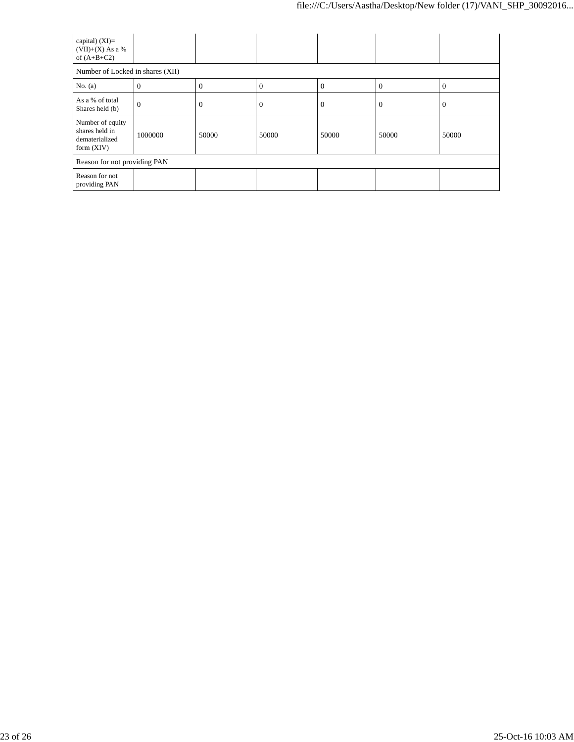| capital) $(XI)=$<br>$(VII)+(X)$ As a %<br>of $(A+B+C2)$              |          |                |          |          |          |          |
|----------------------------------------------------------------------|----------|----------------|----------|----------|----------|----------|
| Number of Locked in shares (XII)                                     |          |                |          |          |          |          |
| No. $(a)$                                                            | $\theta$ | $\theta$       | $\Omega$ | $\Omega$ | $\Omega$ | 0        |
| As a % of total<br>Shares held (b)                                   | $\Omega$ | $\overline{0}$ | $\theta$ | $\theta$ | $\theta$ | $\Omega$ |
| Number of equity<br>shares held in<br>dematerialized<br>form $(XIV)$ | 1000000  | 50000          | 50000    | 50000    | 50000    | 50000    |
| Reason for not providing PAN                                         |          |                |          |          |          |          |
| Reason for not<br>providing PAN                                      |          |                |          |          |          |          |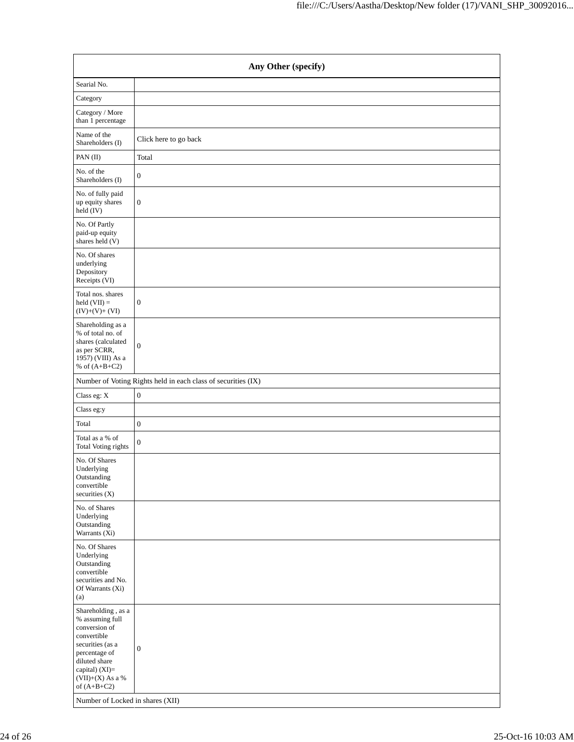| Any Other (specify)                                                                                                                                                                                                       |                                                               |  |  |  |  |
|---------------------------------------------------------------------------------------------------------------------------------------------------------------------------------------------------------------------------|---------------------------------------------------------------|--|--|--|--|
| Searial No.                                                                                                                                                                                                               |                                                               |  |  |  |  |
| Category                                                                                                                                                                                                                  |                                                               |  |  |  |  |
| Category / More<br>than 1 percentage                                                                                                                                                                                      |                                                               |  |  |  |  |
| Name of the<br>Shareholders (I)                                                                                                                                                                                           | Click here to go back                                         |  |  |  |  |
| PAN (II)                                                                                                                                                                                                                  | Total                                                         |  |  |  |  |
| No. of the<br>Shareholders (I)                                                                                                                                                                                            | $\boldsymbol{0}$                                              |  |  |  |  |
| No. of fully paid<br>up equity shares<br>held (IV)                                                                                                                                                                        | $\boldsymbol{0}$                                              |  |  |  |  |
| No. Of Partly<br>paid-up equity<br>shares held (V)                                                                                                                                                                        |                                                               |  |  |  |  |
| No. Of shares<br>underlying<br>Depository<br>Receipts (VI)                                                                                                                                                                |                                                               |  |  |  |  |
| Total nos. shares<br>$held (VII) =$<br>$(IV)+(V)+(VI)$                                                                                                                                                                    | $\boldsymbol{0}$                                              |  |  |  |  |
| Shareholding as a<br>% of total no. of<br>shares (calculated<br>as per SCRR,<br>1957) (VIII) As a<br>% of $(A+B+C2)$                                                                                                      | $\boldsymbol{0}$                                              |  |  |  |  |
|                                                                                                                                                                                                                           | Number of Voting Rights held in each class of securities (IX) |  |  |  |  |
| Class eg: X                                                                                                                                                                                                               | $\boldsymbol{0}$                                              |  |  |  |  |
| Class eg:y                                                                                                                                                                                                                |                                                               |  |  |  |  |
| Total                                                                                                                                                                                                                     | $\boldsymbol{0}$                                              |  |  |  |  |
| Total as a % of<br>Total Voting rights                                                                                                                                                                                    | $\boldsymbol{0}$                                              |  |  |  |  |
| No. Of Shares<br>Underlying<br>Outstanding<br>convertible<br>securities (X)                                                                                                                                               |                                                               |  |  |  |  |
| No. of Shares<br>Underlying<br>Outstanding<br>Warrants (Xi)                                                                                                                                                               |                                                               |  |  |  |  |
| No. Of Shares<br>Underlying<br>Outstanding<br>convertible<br>securities and No.<br>Of Warrants (Xi)<br>(a)                                                                                                                |                                                               |  |  |  |  |
| Shareholding , as a<br>% assuming full<br>conversion of<br>convertible<br>securities (as a<br>percentage of<br>diluted share<br>capital) (XI)=<br>$(VII)+(X)$ As a %<br>of $(A+B+C2)$<br>Number of Locked in shares (XII) | $\boldsymbol{0}$                                              |  |  |  |  |